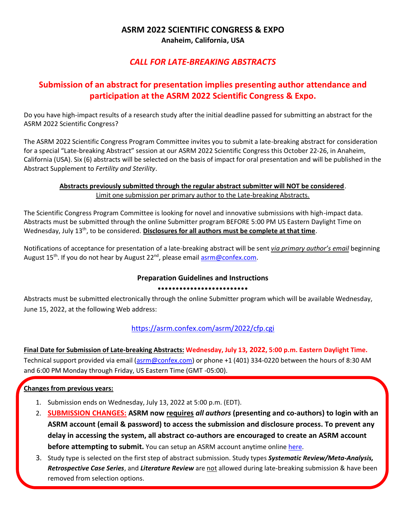### **ASRM 2022 SCIENTIFIC CONGRESS & EXPO Anaheim, California, USA**

## *CALL FOR LATE-BREAKING ABSTRACTS*

# **Submission of an abstract for presentation implies presenting author attendance and participation at the ASRM 2022 Scientific Congress & Expo.**

Do you have high-impact results of a research study after the initial deadline passed for submitting an abstract for the ASRM 2022 Scientific Congress?

The ASRM 2022 Scientific Congress Program Committee invites you to submit a late-breaking abstract for consideration for a special "Late-breaking Abstract" session at our ASRM 2022 Scientific Congress this October 22-26, in Anaheim, California (USA). Six (6) abstracts will be selected on the basis of impact for oral presentation and will be published in the Abstract Supplement to *Fertility and Sterility*.

#### **Abstracts previously submitted through the regular abstract submitter will NOT be considered**. Limit one submission per primary author to the Late-breaking Abstracts.

The Scientific Congress Program Committee is looking for novel and innovative submissions with high-impact data. Abstracts must be submitted through the online Submitter program BEFORE 5:00 PM US Eastern Daylight Time on Wednesday, July 13<sup>th</sup>, to be considered. **Disclosures for all authors must be complete at that time**.

Notifications of acceptance for presentation of a late-breaking abstract will be sent *via primary author's email* beginning August 15<sup>th</sup>. If you do not hear by August 22<sup>nd</sup>, please email [asrm@confex.com.](mailto:asrm@confex.com)

## **Preparation Guidelines and Instructions**

#### •••••••••••••••••••••••••

Abstracts must be submitted electronically through the online Submitter program which will be available Wednesday, June 15, 2022, at the following Web address:

<https://asrm.confex.com/asrm/2022/cfp.cgi>

## **Final Date for Submission of Late-breaking Abstracts: Wednesday, July 13, 2022, 5:00 p.m. Eastern Daylight Time.**

Technical support provided via email [\(asrm@confex.com\)](mailto:asrm@confex.com) or phone +1 (401) 334-0220 between the hours of 8:30 AM and 6:00 PM Monday through Friday, US Eastern Time (GMT -05:00).

#### **Changes from previous years:**

- 1. Submission ends on Wednesday, July 13, 2022 at 5:00 p.m. (EDT).
- 2. **SUBMISSION CHANGES: ASRM now requires** *all authors* **(presenting and co-authors) to login with an ASRM account (email & password) to access the submission and disclosure process. To prevent any delay in accessing the system, all abstract co-authors are encouraged to create an ASRM account before attempting to submit.** You can setup an ASRM account anytime online [here.](https://store.asrm.org/Register-Customer?returnurl=https%3a%2f%2fstore.asrm.org%2fMy-ASRM%2fLogin)
- 3. Study type is selected on the first step of abstract submission. Study types *Systematic Review/Meta-Analysis, Retrospective Case Series*, and *Literature Review* are not allowed during late-breaking submission & have been removed from selection options.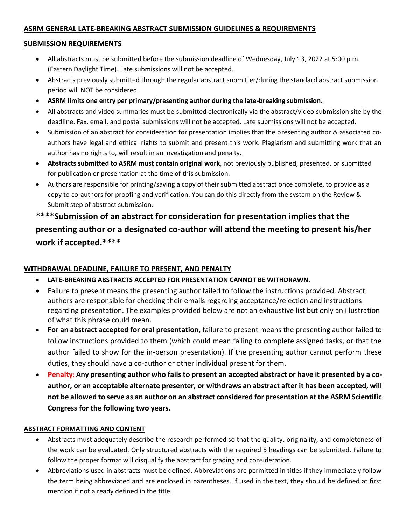#### **ASRM GENERAL LATE-BREAKING ABSTRACT SUBMISSION GUIDELINES & REQUIREMENTS**

#### **SUBMISSION REQUIREMENTS**

- All abstracts must be submitted before the submission deadline of Wednesday, July 13, 2022 at 5:00 p.m. (Eastern Daylight Time). Late submissions will not be accepted.
- Abstracts previously submitted through the regular abstract submitter/during the standard abstract submission period will NOT be considered.
- **ASRM limits one entry per primary/presenting author during the late-breaking submission.**
- All abstracts and video summaries must be submitted electronically via the abstract/video submission site by the deadline. Fax, email, and postal submissions will not be accepted. Late submissions will not be accepted.
- Submission of an abstract for consideration for presentation implies that the presenting author & associated coauthors have legal and ethical rights to submit and present this work. Plagiarism and submitting work that an author has no rights to, will result in an investigation and penalty.
- **Abstracts submitted to ASRM must contain original work**, not previously published, presented, or submitted for publication or presentation at the time of this submission.
- Authors are responsible for printing/saving a copy of their submitted abstract once complete, to provide as a copy to co-authors for proofing and verification. You can do this directly from the system on the Review & Submit step of abstract submission.

# **\*\*\*\*Submission of an abstract for consideration for presentation implies that the presenting author or a designated co-author will attend the meeting to present his/her work if accepted.\*\*\*\***

#### **WITHDRAWAL DEADLINE, FAILURE TO PRESENT, AND PENALTY**

- **LATE-BREAKING ABSTRACTS ACCEPTED FOR PRESENTATION CANNOT BE WITHDRAWN**.
- Failure to present means the presenting author failed to follow the instructions provided. Abstract authors are responsible for checking their emails regarding acceptance/rejection and instructions regarding presentation. The examples provided below are not an exhaustive list but only an illustration of what this phrase could mean.
- **For an abstract accepted for oral presentation,** failure to present means the presenting author failed to follow instructions provided to them (which could mean failing to complete assigned tasks, or that the author failed to show for the in-person presentation). If the presenting author cannot perform these duties, they should have a co-author or other individual present for them.
- **Penalty: Any presenting author who fails to present an accepted abstract or have it presented by a coauthor, or an acceptable alternate presenter, or withdraws an abstract after it has been accepted, will not be allowed to serve as an author on an abstract considered for presentation at the ASRM Scientific Congress for the following two years.**

#### **ABSTRACT FORMATTING AND CONTENT**

- Abstracts must adequately describe the research performed so that the quality, originality, and completeness of the work can be evaluated. Only structured abstracts with the required 5 headings can be submitted. Failure to follow the proper format will disqualify the abstract for grading and consideration.
- Abbreviations used in abstracts must be defined. Abbreviations are permitted in titles if they immediately follow the term being abbreviated and are enclosed in parentheses. If used in the text, they should be defined at first mention if not already defined in the title.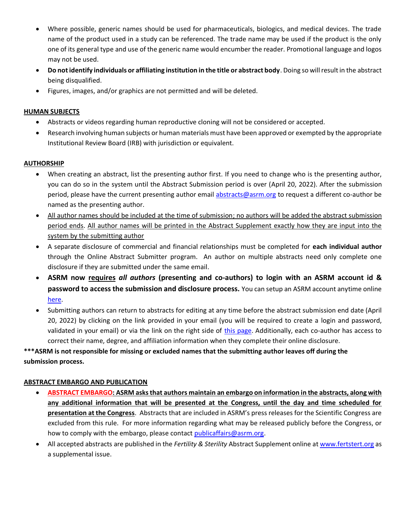- Where possible, generic names should be used for pharmaceuticals, biologics, and medical devices. The trade name of the product used in a study can be referenced. The trade name may be used if the product is the only one of its general type and use of the generic name would encumber the reader. Promotional language and logos may not be used.
- **Do not identify individuals or affiliating institution in the title or abstract body**. Doing so will result in the abstract being disqualified.
- Figures, images, and/or graphics are not permitted and will be deleted.

#### **HUMAN SUBJECTS**

- Abstracts or videos regarding human reproductive cloning will not be considered or accepted.
- Research involving human subjects or human materials must have been approved or exempted by the appropriate Institutional Review Board (IRB) with jurisdiction or equivalent.

#### **AUTHORSHIP**

- When creating an abstract, list the presenting author first. If you need to change who is the presenting author, you can do so in the system until the Abstract Submission period is over (April 20, 2022). After the submission period, please have the current presenting author email [abstracts@asrm.org](mailto:research@asrm.org) to request a different co-author be named as the presenting author.
- All author names should be included at the time of submission; no authors will be added the abstract submission period ends. All author names will be printed in the Abstract Supplement exactly how they are input into the system by the submitting author
- A separate disclosure of commercial and financial relationships must be completed for **each individual author** through the Online Abstract Submitter program. An author on multiple abstracts need only complete one disclosure if they are submitted under the same email.
- **ASRM now requires** *all authors* **(presenting and co-authors) to login with an ASRM account id & password to access the submission and disclosure process.** You can setup an ASRM account anytime online [here.](https://store.asrm.org/Register-Customer?returnurl=https%3a%2f%2fstore.asrm.org%2fMy-ASRM%2fLogin)
- Submitting authors can return to abstracts for editing at any time before the abstract submission end date (April 20, 2022) by clicking on the link provided in your email (you will be required to create a login and password, validated in your email) or via the link on the right side of [this page.](https://asrm.confex.com/asrm/2022/cfp.cgi) Additionally, each co-author has access to correct their name, degree, and affiliation information when they complete their online disclosure.

**\*\*\*ASRM is not responsible for missing or excluded names that the submitting author leaves off during the submission process.**

#### **ABSTRACT EMBARGO AND PUBLICATION**

- **ABSTRACT EMBARGO: ASRM asks that authors maintain an embargo on information in the abstracts, along with any additional information that will be presented at the Congress, until the day and time scheduled for presentation at the Congress**. Abstracts that are included in ASRM's press releases for the Scientific Congress are excluded from this rule. For more information regarding what may be released publicly before the Congress, or how to comply with the embargo, please contact [publicaffairs@asrm.org.](mailto:publicaffairs@asrm.org)
- All accepted abstracts are published in the *Fertility & Sterility* Abstract Supplement online at [www.fertstert.org](http://www.fertstert.org/) as a supplemental issue.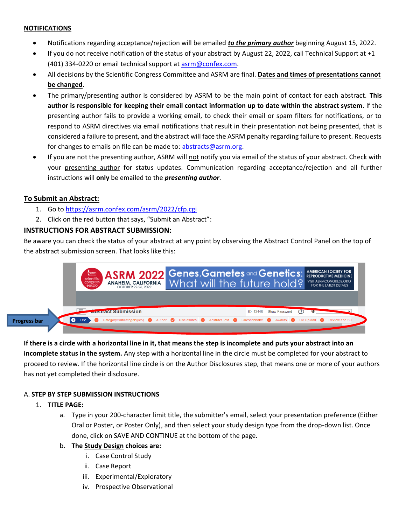#### **NOTIFICATIONS**

- Notifications regarding acceptance/rejection will be emailed *to the primary author* beginning August 15, 2022.
- If you do not receive notification of the status of your abstract by August 22, 2022, call Technical Support at +1 (401) 334-0220 or email technical support at asrm@confex.com.
- All decisions by the Scientific Congress Committee and ASRM are final. **Dates and times of presentations cannot be changed**.
- The primary/presenting author is considered by ASRM to be the main point of contact for each abstract. **This author is responsible for keeping their email contact information up to date within the abstract system**. If the presenting author fails to provide a working email, to check their email or spam filters for notifications, or to respond to ASRM directives via email notifications that result in their presentation not being presented, that is considered a failure to present, and the abstract will face the ASRM penalty regarding failure to present. Requests for changes to emails on file can be made to: abstracts@asrm.org.
- If you are not the presenting author, ASRM will not notify you via email of the status of your abstract. Check with your presenting author for status updates. Communication regarding acceptance/rejection and all further instructions will **only** be emailed to the *presenting author*.

#### **To Submit an Abstract:**

- 1. Go to https://asrm.confex.com/asrm/2022/cfp.cgi
- 2. Click on the red button that says, "Submit an Abstract":

#### **INSTRUCTIONS FOR ABSTRACT SUBMISSION:**

Be aware you can check the status of your abstract at any point by observing the Abstract Control Panel on the top of the abstract submission screen. That looks like this:



#### **If there is a circle with a horizontal line in it, that means the step is incomplete and puts your abstract into an**

**incomplete status in the system.** Any step with a horizontal line in the circle must be completed for your abstract to proceed to review. If the horizontal line circle is on the Author Disclosures step, that means one or more of your authors has not yet completed their disclosure.

#### A. **STEP BY STEP SUBMISSION INSTRUCTIONS**

#### 1. **TITLE PAGE:**

a. Type in your 200-character limit title, the submitter's email, select your presentation preference (Either Oral or Poster, or Poster Only), and then select your study design type from the drop-down list. Once done, click on SAVE AND CONTINUE at the bottom of the page.

#### b. **The Study Design choices are:**

- i. Case Control Study
- ii. Case Report
- iii. Experimental/Exploratory
- iv. Prospective Observational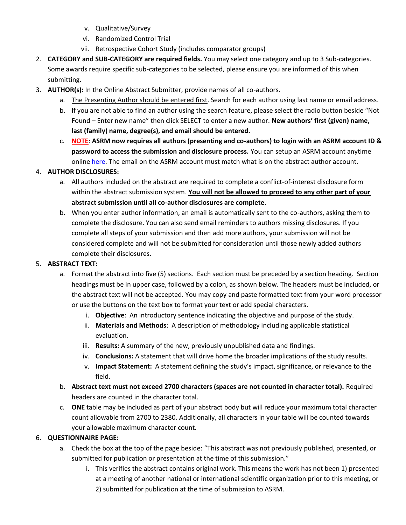- v. Qualitative/Survey
- vi. Randomized Control Trial
- vii. Retrospective Cohort Study (includes comparator groups)
- 2. **CATEGORY and SUB-CATEGORY are required fields.** You may select one category and up to 3 Sub-categories. Some awards require specific sub-categories to be selected, please ensure you are informed of this when submitting.
- 3. **AUTHOR(s):** In the Online Abstract Submitter, provide names of all co-authors.
	- a. The Presenting Author should be entered first. Search for each author using last name or email address.
	- b. If you are not able to find an author using the search feature, please select the radio button beside "Not Found – Enter new name" then click SELECT to enter a new author. **New authors' first (given) name, last (family) name, degree(s), and email should be entered.**
	- c. **NOTE**: **ASRM now requires all authors (presenting and co-authors) to login with an ASRM account ID & password to access the submission and disclosure process.** You can setup an ASRM account anytime onlin[e here.](https://store.asrm.org/Register-Customer?returnurl=https%3a%2f%2fstore.asrm.org%2fMy-ASRM%2fLogin) The email on the ASRM account must match what is on the abstract author account.

#### 4. **AUTHOR DISCLOSURES:**

- a. All authors included on the abstract are required to complete a conflict-of-interest disclosure form within the abstract submission system. **You will not be allowed to proceed to any other part of your abstract submission until all co-author disclosures are complete**.
- b. When you enter author information, an email is automatically sent to the co-authors, asking them to complete the disclosure. You can also send email reminders to authors missing disclosures. If you complete all steps of your submission and then add more authors, your submission will not be considered complete and will not be submitted for consideration until those newly added authors complete their disclosures.

#### 5. **ABSTRACT TEXT:**

- a. Format the abstract into five (5) sections. Each section must be preceded by a section heading. Section headings must be in upper case, followed by a colon, as shown below. The headers must be included, or the abstract text will not be accepted. You may copy and paste formatted text from your word processor or use the buttons on the text box to format your text or add special characters.
	- i. **Objective**: An introductory sentence indicating the objective and purpose of the study.
	- ii. **Materials and Methods**: A description of methodology including applicable statistical evaluation.
	- iii. **Results:** A summary of the new, previously unpublished data and findings.
	- iv. **Conclusions:** A statement that will drive home the broader implications of the study results.
	- v. **Impact Statement:** A statement defining the study's impact, significance, or relevance to the field.
- b. **Abstract text must not exceed 2700 characters (spaces are not counted in character total).** Required headers are counted in the character total.
- c. **ONE** table may be included as part of your abstract body but will reduce your maximum total character count allowable from 2700 to 2380. Additionally, all characters in your table will be counted towards your allowable maximum character count.

#### 6. **QUESTIONNAIRE PAGE:**

- a. Check the box at the top of the page beside: "This abstract was not previously published, presented, or submitted for publication or presentation at the time of this submission."
	- i. This verifies the abstract contains original work. This means the work has not been 1) presented at a meeting of another national or international scientific organization prior to this meeting, or 2) submitted for publication at the time of submission to ASRM.